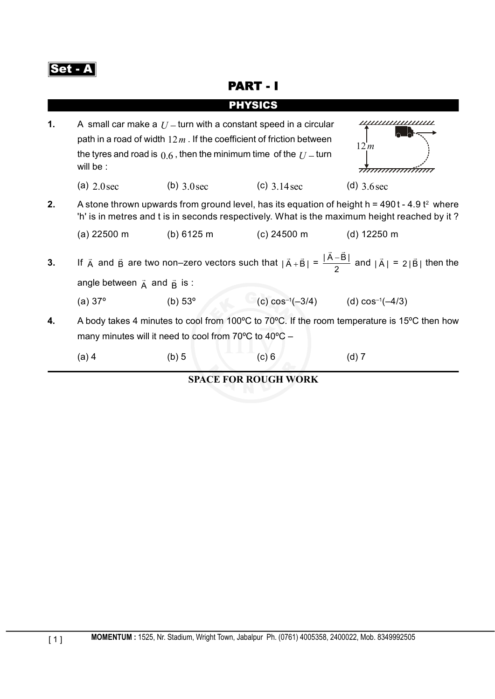

## PART - I

|    |                                                                                                                                                                                                                                         |                  | PHYSICS                                   |                       |  |
|----|-----------------------------------------------------------------------------------------------------------------------------------------------------------------------------------------------------------------------------------------|------------------|-------------------------------------------|-----------------------|--|
| 1. | A small car make a $U$ – turn with a constant speed in a circular<br>path in a road of width $12m$ . If the coefficient of friction between<br>12m<br>the tyres and road is $0.6$ , then the minimum time of the $U$ – turn<br>will be: |                  |                                           |                       |  |
|    | (a) $2.0$ sec                                                                                                                                                                                                                           | (b) $3.0$ sec    | (c) $3.14 \text{ sec}$                    | (d) $3.6$ sec         |  |
| 2. | A stone thrown upwards from ground level, has its equation of height $h = 490t - 4.9t^2$ where<br>'h' is in metres and t is in seconds respectively. What is the maximum height reached by it?                                          |                  |                                           |                       |  |
|    | $(a)$ 22500 m                                                                                                                                                                                                                           | (b) 6125 m       | (c) 24500 m                               | (d) $12250 \text{ m}$ |  |
| 3. | If $\vec{A}$ and $\vec{B}$ are two non-zero vectors such that $ \vec{A}+\vec{B}  = \frac{ \vec{A}-\vec{B} }{2}$ and $ \vec{A}  = 2 \vec{B} $ then the                                                                                   |                  |                                           |                       |  |
|    | angle between $\vec{A}$ and $\vec{B}$ is :                                                                                                                                                                                              |                  |                                           |                       |  |
|    | (a) $37^{\circ}$                                                                                                                                                                                                                        | (b) $53^{\circ}$ | (c) $cos^{-1}(-3/4)$ (d) $cos^{-1}(-4/3)$ |                       |  |
| 4. | A body takes 4 minutes to cool from 100°C to 70°C. If the room temperature is 15°C then how<br>many minutes will it need to cool from 70°C to 40°C -                                                                                    |                  |                                           |                       |  |
|    | $(a)$ 4                                                                                                                                                                                                                                 | (b) 5            | (c) 6                                     | $(d)$ 7               |  |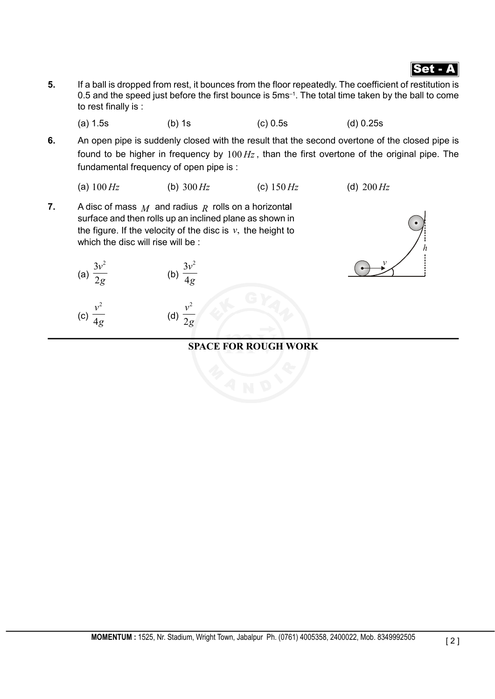

- **5.** If a ball is dropped from rest, it bounces from the floor repeatedly. The coefficient of restitution is 0.5 and the speed just before the first bounce is 5ms–1. The total time taken by the ball to come to rest finally is :
	- (a) 1.5s (b) 1s (c) 0.5s (d) 0.25s
- **6.** An open pipe is suddenly closed with the result that the second overtone of the closed pipe is found to be higher in frequency by 100 *Hz* , than the first overtone of the original pipe. The fundamental frequency of open pipe is :
	- (a)  $100 \, Hz$  (b)  $300 \, Hz$  (c)  $150 \, Hz$  (d)  $200 \, Hz$
- **7.** A disc of mass  $M$  and radius  $R$  rolls on a horizontal surface and then rolls up an inclined plane as shown in the figure. If the velocity of the disc is  $v$ , the height to which the disc will rise will be :

(a) 
$$
\frac{3v^2}{2g}
$$
 (b)  $\frac{3v^2}{4g}$ 

(c) 
$$
\frac{v^2}{4g}
$$
 (d)  $\frac{v^2}{2g}$ 

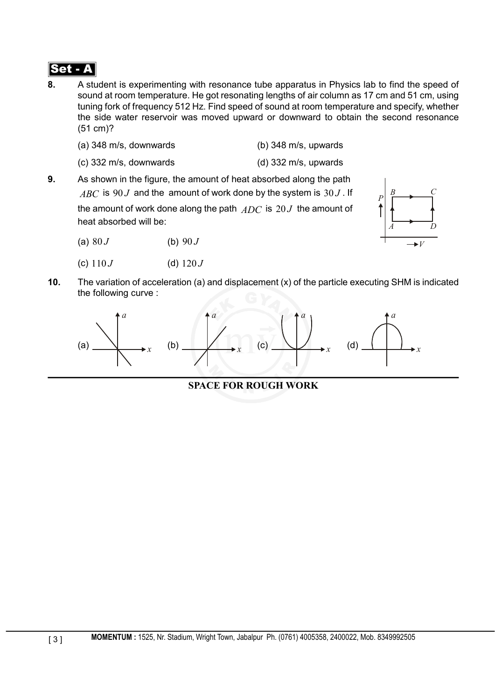- **8.** A student is experimenting with resonance tube apparatus in Physics lab to find the speed of sound at room temperature. He got resonating lengths of air column as 17 cm and 51 cm, using tuning fork of frequency 512 Hz. Find speed of sound at room temperature and specify, whether the side water reservoir was moved upward or downward to obtain the second resonance (51 cm)?
	- (a) 348 m/s, downwards (b) 348 m/s, upwards
		-
	- (c) 332 m/s, downwards (d) 332 m/s, upwards
- **9.** As shown in the figure, the amount of heat absorbed along the path  $ABC$  is 90 *J* and the amount of work done by the system is 30 *J*. If the amount of work done along the path *ADC* is 20 *J* the amount of heat absorbed will be:
	- (a)  $80 J$  (b)  $90 J$
	- (c)  $110 J$  (d)  $120 J$



**10.** The variation of acceleration (a) and displacement (x) of the particle executing SHM is indicated the following curve :

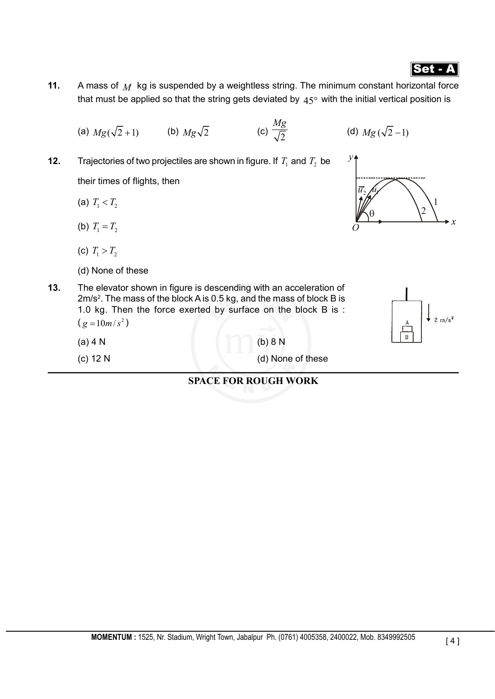[ 4 ]

# Set - A

- **11.** A mass of *M* kg is suspended by a weightless string. The minimum constant horizontal force that must be applied so that the string gets deviated by  $45^\circ$  with the initial vertical position is
	- (a)  $Mg(\sqrt{2}+1)$  (b)  $Mg\sqrt{2}$  (c)  $\frac{Mg}{\sqrt{2}}$ (d)  $Mg(\sqrt{2}-1)$
- **12.** Trajectories of two projectiles are shown in figure. If  $T_1$  and  $T_2$  be their times of flights, then
	- (a)  $T_1 < T_2$
	- (b)  $T_1 = T_2$
	- (c)  $T_1 > T_2$
	- (d) None of these
- **13.** The elevator shown in figure is descending with an acceleration of 2m/s<sup>2</sup>. The mass of the block A is 0.5 kg, and the mass of block B is 1.0 kg. Then the force exerted by surface on the block B is :  $(g = 10m/s^2)$ 
	- (a)  $4 N$  (b)  $8 N$
	-
	- (c) 12 N (d) None of these



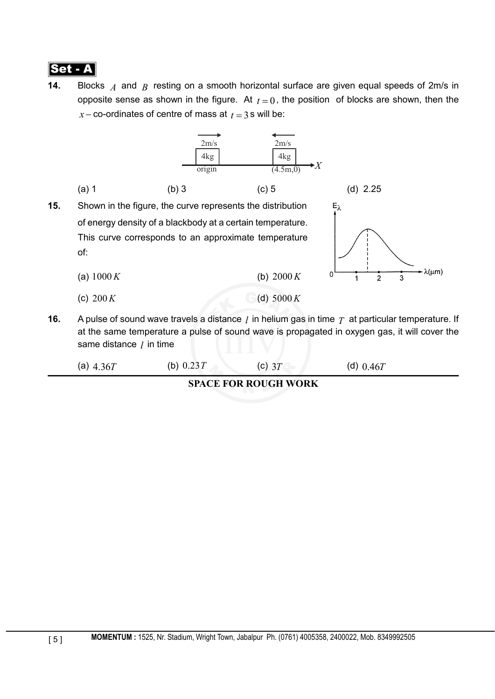

**14.** Blocks *A* and *B* resting on a smooth horizontal surface are given equal speeds of 2m/s in opposite sense as shown in the figure. At  $t = 0$ , the position of blocks are shown, then the  $x$  – co-ordinates of centre of mass at  $t = 3$  s will be:



| <b>SPACE FOR ROUGH WORK</b> |             |        |             |  |  |
|-----------------------------|-------------|--------|-------------|--|--|
| (a) 4.36 $T$                | (b) $0.23T$ | (C) 3T | (d) $0.46T$ |  |  |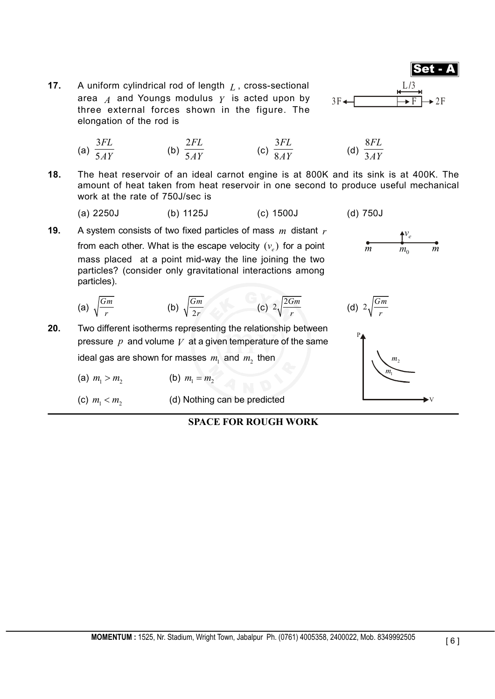**17.** A uniform cylindrical rod of length L, cross-sectional area  $A$  and Youngs modulus  $Y$  is acted upon by  $3F$ . three external forces shown in the figure. The elongation of the rod is



(d) 750J

- (a) 3 5 *FL*  $\overline{AY}$  (b) 2 5 *FL*  $\overline{AY}$  (c) 3 8 *FL*  $\overline{AY}$  (d) 8 3 *FL AY*
- **18.** The heat reservoir of an ideal carnot engine is at 800K and its sink is at 400K. The amount of heat taken from heat reservoir in one second to produce useful mechanical work at the rate of 750J/sec is

**19.** A system consists of two fixed particles of mass *m* distant *r* **f**  $\frac{V_e}{m}$  **f**  $\frac{V_e}{m}$  **f**  $\frac{V_e}{m}$ *from each other. What is the escape velocity*  $(v_a)$  *for a point* mass placed at a point mid-way the line joining the two particles? (consider only gravitational interactions among particles).

(a) 
$$
\sqrt{\frac{Gm}{r}}
$$
 (b)  $\sqrt{\frac{Gm}{2r}}$  (c)  $2\sqrt{\frac{2Gm}{r}}$  (d)  $2\sqrt{\frac{Gm}{r}}$ 

- **20.** Two different isotherms representing the relationship between pressure  $p$  and volume  $V$  at a given temperature of the same ideal gas are shown for masses  $m_1$  and  $m_2$  then
	- (a)  $m_1 > m_2$  (b)  $m_1 = m_2$
	- (c)  $m_1 < m_2$  (d) Nothing can be predicted



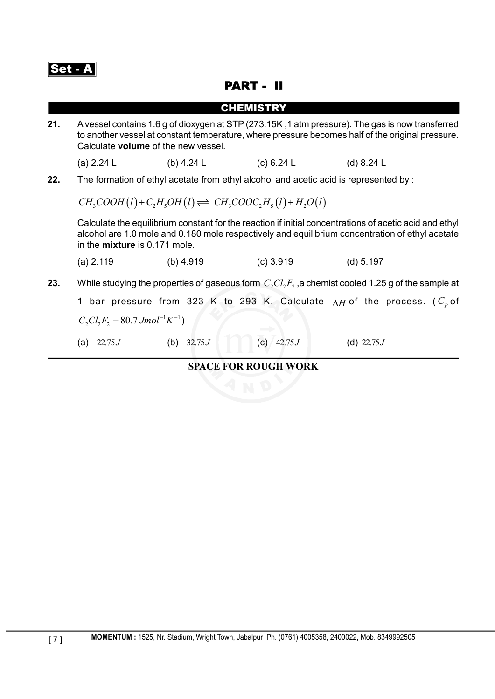

## PART - II

|     |                                                                                                                                                                                                                                                   |               | <b>CHEMISTRY</b>                                                                      |              |  |  |
|-----|---------------------------------------------------------------------------------------------------------------------------------------------------------------------------------------------------------------------------------------------------|---------------|---------------------------------------------------------------------------------------|--------------|--|--|
| 21. | A vessel contains 1.6 g of dioxygen at STP (273.15K, 1 atm pressure). The gas is now transferred<br>to another vessel at constant temperature, where pressure becomes half of the original pressure.<br>Calculate volume of the new vessel.       |               |                                                                                       |              |  |  |
|     | (a) $2.24 L$                                                                                                                                                                                                                                      | (b) 4.24 $L$  | (c) 6.24 L                                                                            | (d) $8.24 L$ |  |  |
| 22. |                                                                                                                                                                                                                                                   |               | The formation of ethyl acetate from ethyl alcohol and acetic acid is represented by : |              |  |  |
|     | $CH_3COOH(l) + C_2H_3OH(l) \rightleftharpoons CH_3COOC_2H_3(l) + H_2O(l)$                                                                                                                                                                         |               |                                                                                       |              |  |  |
|     | Calculate the equilibrium constant for the reaction if initial concentrations of acetic acid and ethyl<br>alcohol are 1.0 mole and 0.180 mole respectively and equilibrium concentration of ethyl acetate<br>in the <b>mixture</b> is 0.171 mole. |               |                                                                                       |              |  |  |
|     | $(a)$ 2.119                                                                                                                                                                                                                                       | (b) $4.919$   | $(c)$ 3.919                                                                           | (d) 5.197    |  |  |
| 23. | While studying the properties of gaseous form $C, Cl, F$ , a chemist cooled 1.25 g of the sample at                                                                                                                                               |               |                                                                                       |              |  |  |
|     | 1 bar pressure from 323 K to 293 K. Calculate $\Lambda H$ of the process. ( $C_n$ of                                                                                                                                                              |               |                                                                                       |              |  |  |
|     | $C_2Cl_2F_2 = 80.7 Jmol^{-1}K^{-1}$                                                                                                                                                                                                               |               |                                                                                       |              |  |  |
|     | (a) $-22.75J$                                                                                                                                                                                                                                     | (b) $-32.75J$ | (c) $-42.75J$                                                                         | (d) $22.75J$ |  |  |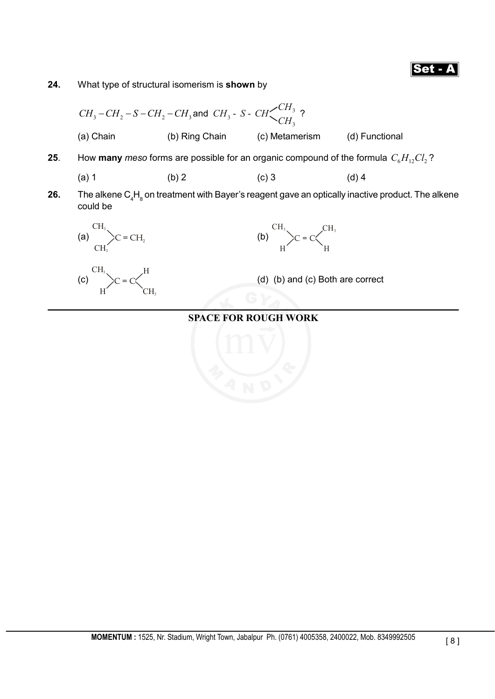**24.** What type of structural isomerism is **shown** by

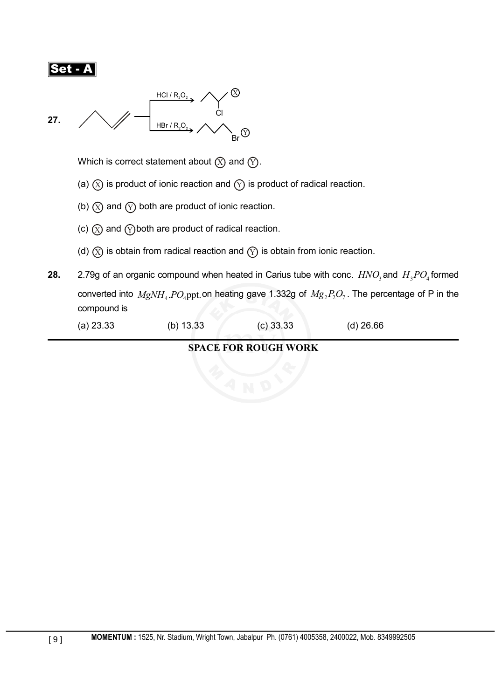$$
\fbox{\sf Set-}\mathbf{A}
$$



Which is correct statement about  $\circledX$  and  $\circled{y}$ .

- (a)  $(X)$  is product of ionic reaction and  $(Y)$  is product of radical reaction.
- (b)  $(X)$  and  $(Y)$  both are product of ionic reaction.
- (c)  $(X)$  and  $(Y)$  both are product of radical reaction.
- (d)  $(X)$  is obtain from radical reaction and  $(Y)$  is obtain from ionic reaction.
- **28.** 2.79g of an organic compound when heated in Carius tube with conc.  $HNO<sub>3</sub>$  and  $H<sub>3</sub>PO<sub>4</sub>$  formed converted into  $MgNH_4$ .  $PO_4$ ppt. on heating gave 1.332g of  $Mg_2P_2O_7$ . The percentage of P in the compound is
	- (a) 23.33 (b) 13.33 (c) 33.33 (d) 26.66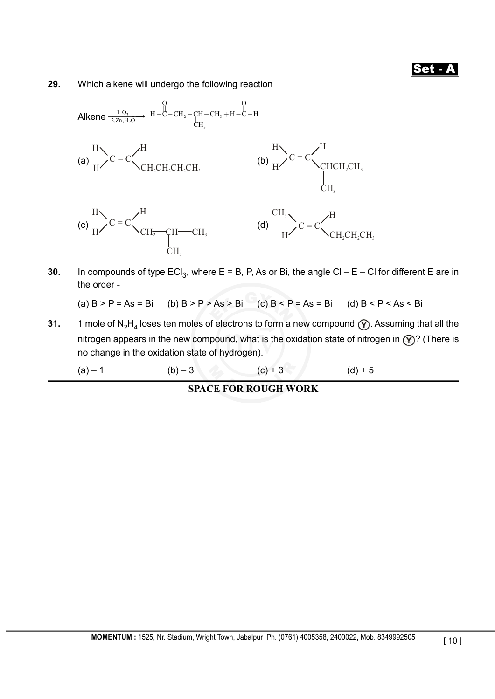**29.** Which alkene will undergo the following reaction



**30.** In compounds of type  $ECI_3$ , where  $E = B$ , P, As or Bi, the angle  $Cl - E - Cl$  for different E are in the order -

(a)  $B > P = As = Bi$  (b)  $B > P > As > Bi$  (c)  $B < P = As = Bi$  (d)  $B < P < As < Bi$ 

**31.** 1 mole of N<sub>2</sub>H<sub>4</sub> loses ten moles of electrons to form a new compound  $(\hat{Y})$ . Assuming that all the nitrogen appears in the new compound, what is the oxidation state of nitrogen in  $\mathcal{P}$ ? (There is no change in the oxidation state of hydrogen).

(a) – 1 (b) – 3 (c) + 3 (d) + 5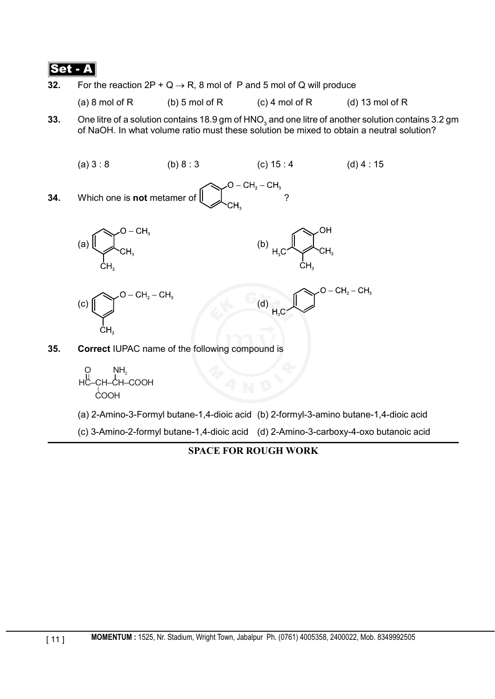**32.** For the reaction  $2P + Q \rightarrow R$ , 8 mol of P and 5 mol of Q will produce

(a) 8 mol of R (b) 5 mol of R (c) 4 mol of R (d) 13 mol of R

**33.** One litre of a solution contains 18.9 gm of  $\mathsf{HNO}_3$  and one litre of another solution contains 3.2 gm of NaOH. In what volume ratio must these solution be mixed to obtain a neutral solution?



(a) 2-Amino-3-Formyl butane-1,4-dioic acid (b) 2-formyl-3-amino butane-1,4-dioic acid

(c) 3-Amino-2-formyl butane-1,4-dioic acid (d) 2-Amino-3-carboxy-4-oxo butanoic acid

**SPACE FOR ROUGH WORK**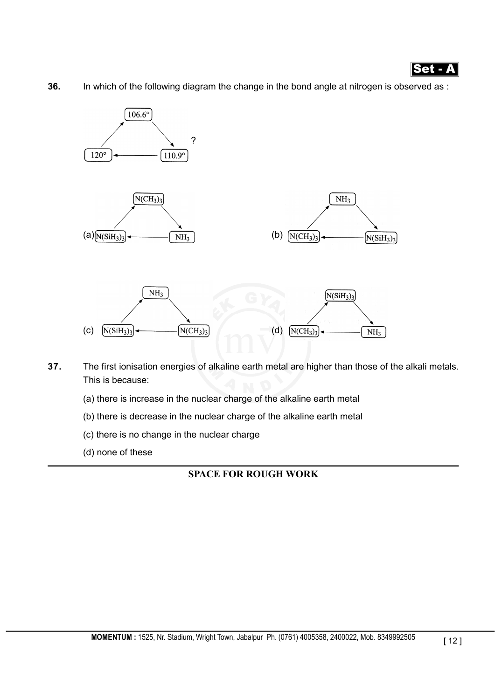

**36.** In which of the following diagram the change in the bond angle at nitrogen is observed as :



- **37.** The first ionisation energies of alkaline earth metal are higher than those of the alkali metals. This is because:
	- (a) there is increase in the nuclear charge of the alkaline earth metal
	- (b) there is decrease in the nuclear charge of the alkaline earth metal
	- (c) there is no change in the nuclear charge
	- (d) none of these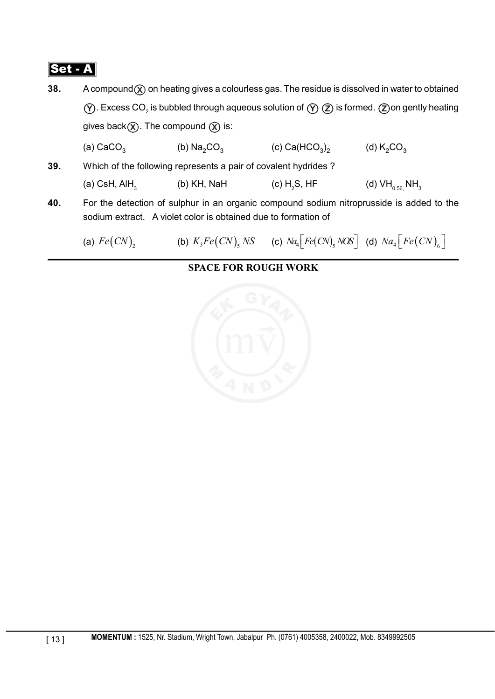**38.** A compound (x) on heating gives a colourless gas. The residue is dissolved in water to obtained  $\widehat{\textbf{Y}}$  . Excess CO<sub>2</sub> is bubbled through aqueous solution of  $\widehat{\textbf{Y}}$   $\widehat{\textbf{Z}}$  is formed.  $\widehat{\textbf{Z}}$  on gently heating gives back  $\hat{\chi}$ . The compound  $\hat{\chi}$  is:

(a) CaCO<sub>3</sub> (b) Na<sub>2</sub>CO<sub>3</sub> (c) Ca(HCO<sub>3</sub>)<sub>2</sub> (d) K<sub>2</sub>CO<sub>3</sub>

- **39.** Which of the following represents a pair of covalent hydrides ? (a) CsH, AlH<sub>3</sub> (b) KH, NaH (c) H<sub>2</sub>S, HF (d)  $VH_{0.56}$  NH<sub>3</sub>
- **40.** For the detection of sulphur in an organic compound sodium nitroprusside is added to the sodium extract. A violet color is obtained due to formation of

(a)  $Fe(CN)_2$  (b)  $K_3Fe(CN)_5 NS$  (c)  $Na_4[Fe(CN)_5 NOS]$  (d)  $Na_4[Fe(CN)_6]$ 

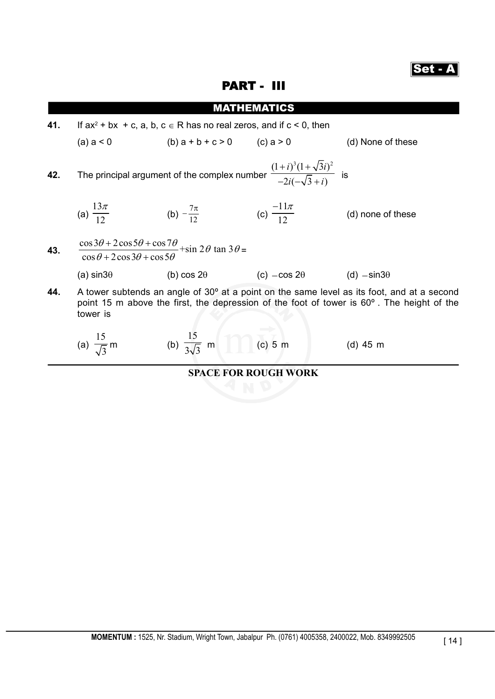#### PART - III

|     |                                                                                                                                                                                                     |                                                                                                                                | <b>MATHEMATICS</b>                                         |                   |  |
|-----|-----------------------------------------------------------------------------------------------------------------------------------------------------------------------------------------------------|--------------------------------------------------------------------------------------------------------------------------------|------------------------------------------------------------|-------------------|--|
| 41. | If $ax^2 + bx + c$ , a, b, $c \in R$ has no real zeros, and if $c < 0$ , then                                                                                                                       |                                                                                                                                |                                                            |                   |  |
|     | $(a)$ a $\leq 0$                                                                                                                                                                                    | $(b) a + b + c > 0$ $(c) a > 0$                                                                                                |                                                            | (d) None of these |  |
| 42. | The principal argument of the complex number $\frac{(1+i)^3(1+\sqrt{3}i)^2}{-2i(-\sqrt{3}+i)}$ is                                                                                                   |                                                                                                                                |                                                            |                   |  |
|     | (a) $\frac{13\pi}{12}$                                                                                                                                                                              | (b) $-\frac{7\pi}{12}$                                                                                                         | (c) $\frac{-11\pi}{12}$                                    | (d) none of these |  |
| 43. |                                                                                                                                                                                                     | $\frac{\cos 3\theta + 2\cos 5\theta + \cos 7\theta}{\cos \theta + 2\cos 3\theta + \cos 5\theta} + \sin 2\theta \tan 3\theta =$ |                                                            |                   |  |
|     | (a) $sin3\theta$                                                                                                                                                                                    |                                                                                                                                | (b) $\cos 2\theta$ (c) $-\cos 2\theta$ (d) $-\sin 3\theta$ |                   |  |
| 44. | A tower subtends an angle of 30° at a point on the same level as its foot, and at a second<br>point 15 m above the first, the depression of the foot of tower is 60°. The height of the<br>tower is |                                                                                                                                |                                                            |                   |  |
|     |                                                                                                                                                                                                     | (a) $\frac{15}{\sqrt{3}}$ m (b) $\frac{15}{3\sqrt{3}}$ m (c) 5 m                                                               |                                                            | $(d)$ 45 m        |  |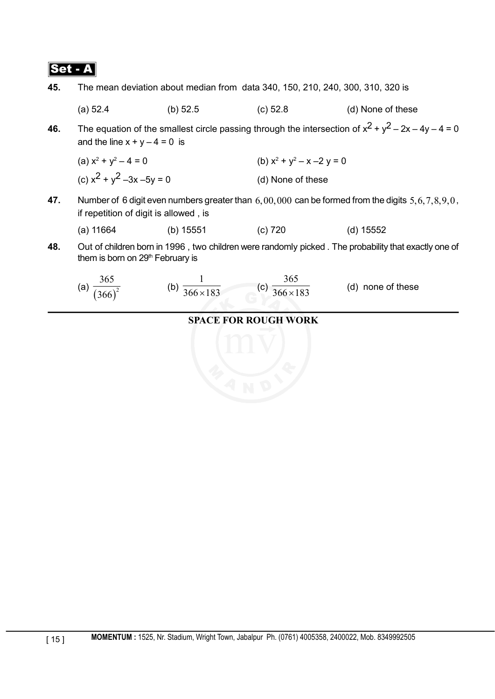**45.** The mean deviation about median from data 340, 150, 210, 240, 300, 310, 320 is

(a) 52.4 (b) 52.5 (c) 52.8 (d) None of these

**46.** The equation of the smallest circle passing through the intersection of  $x^2 + y^2 - 2x - 4y - 4 = 0$ and the line  $x + y - 4 = 0$  is

(a)  $x^2 + y^2 - 4 = 0$  (b)  $x^2$  $+ y^2 - x - 2 y = 0$ (c)  $x^2 + y^2 - 3x - 5y = 0$  (d) None of these

**47.** Number of 6 digit even numbers greater than 6,00,000 can be formed from the digits 5,6,7,8,9,0, if repetition of digit is allowed , is

| (a) 11664 | (b) $15551$ | $(c)$ 720 | (d) 15552 |
|-----------|-------------|-----------|-----------|
|           |             |           |           |

**48.** Out of children born in 1996 , two children were randomly picked . The probability that exactly one of them is born on 29<sup>th</sup> February is

(a) 
$$
\frac{365}{(366)^2}
$$
 (b)  $\frac{1}{366 \times 183}$  (c)  $\frac{365}{366 \times 183}$  (d) none of these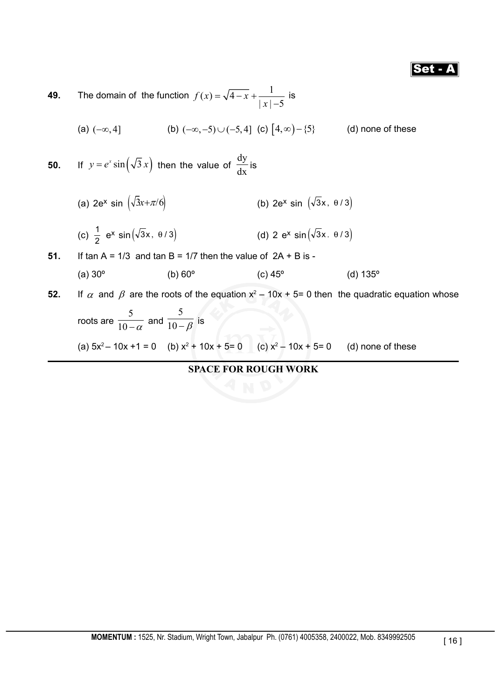**49.** The domain of the function  $f(x) = \sqrt{4-x} + \frac{1}{|x|-5}$  is

(a) 
$$
(-\infty, 4]
$$
 (b)  $(-\infty, -5) \cup (-5, 4]$  (c)  $[4, \infty) - \{5\}$  (d) none of these

**50.** If  $y = e^x \sin(\sqrt{3}x)$  then the value of  $\frac{dy}{dx}$  is

(a)  $2e^{x} \sin \left( \sqrt{3}x + \pi/6 \right)$  (b)  $2e^{x} \sin \left( \sqrt{3}x, \theta/3 \right)$ 

(c) 
$$
\frac{1}{2} e^x \sin(\sqrt{3}x, \theta/3)
$$
 (d)  $2 e^x \sin(\sqrt{3}x, \theta/3)$ 

**51.** If tan  $A = 1/3$  and tan  $B = 1/7$  then the value of  $2A + B$  is -(a)  $30^{\circ}$  (b)  $60^{\circ}$  (c)  $45^{\circ}$  (d)  $135^{\circ}$ 

**52.** If  $\alpha$  and  $\beta$  are the roots of the equation  $x^2 - 10x + 5 = 0$  then the quadratic equation whose

roots are 
$$
\frac{5}{10 - \alpha}
$$
 and  $\frac{5}{10 - \beta}$  is  
\n(a)  $5x^2 - 10x + 1 = 0$  (b)  $x^2 + 10x + 5 = 0$  (c)  $x^2 - 10x + 5 = 0$  (d) none of these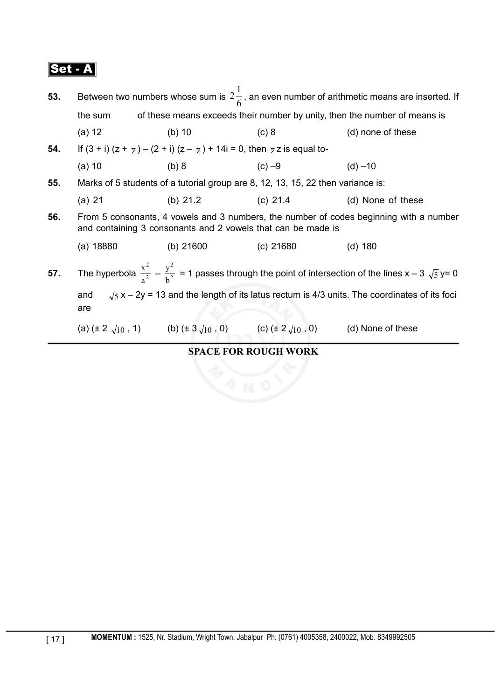| 53. | Between two numbers whose sum is $2\frac{1}{6}$ , an even number of arithmetic means are inserted. If                                                  |             |                                                                                                 |                   |  |
|-----|--------------------------------------------------------------------------------------------------------------------------------------------------------|-------------|-------------------------------------------------------------------------------------------------|-------------------|--|
|     | of these means exceeds their number by unity, then the number of means is<br>the sum                                                                   |             |                                                                                                 |                   |  |
|     | $(a)$ 12                                                                                                                                               | (b) $10$    | $(c)$ 8                                                                                         | (d) none of these |  |
| 54. | If $(3 + i)(z + \frac{1}{z}) - (2 + i)(z - \frac{1}{z}) + 14i = 0$ , then $\frac{1}{z}$ z is equal to-                                                 |             |                                                                                                 |                   |  |
|     | $(a)$ 10                                                                                                                                               | (b) 8       | $(c) -9$                                                                                        | $(d) - 10$        |  |
| 55. |                                                                                                                                                        |             | Marks of 5 students of a tutorial group are 8, 12, 13, 15, 22 then variance is:                 |                   |  |
|     | (a) 21                                                                                                                                                 | (b) $21.2$  | $(c)$ 21.4                                                                                      | (d) None of these |  |
| 56. | From 5 consonants, 4 vowels and 3 numbers, the number of codes beginning with a number<br>and containing 3 consonants and 2 vowels that can be made is |             |                                                                                                 |                   |  |
|     | (a) 18880                                                                                                                                              | (b) $21600$ | (c) 21680                                                                                       | $(d)$ 180         |  |
| 57. | The hyperbola $\frac{x^2}{a^2} - \frac{y^2}{b^2} = 1$ passes through the point of intersection of the lines $x - 3\sqrt{5}y = 0$                       |             |                                                                                                 |                   |  |
|     | $\sqrt{5}x - 2y = 13$ and the length of its latus rectum is 4/3 units. The coordinates of its foci<br>and<br>are                                       |             |                                                                                                 |                   |  |
|     |                                                                                                                                                        |             | (a) $(\pm 2\sqrt{10}, 1)$ (b) $(\pm 3\sqrt{10}, 0)$ (c) $(\pm 2\sqrt{10}, 0)$ (d) None of these |                   |  |